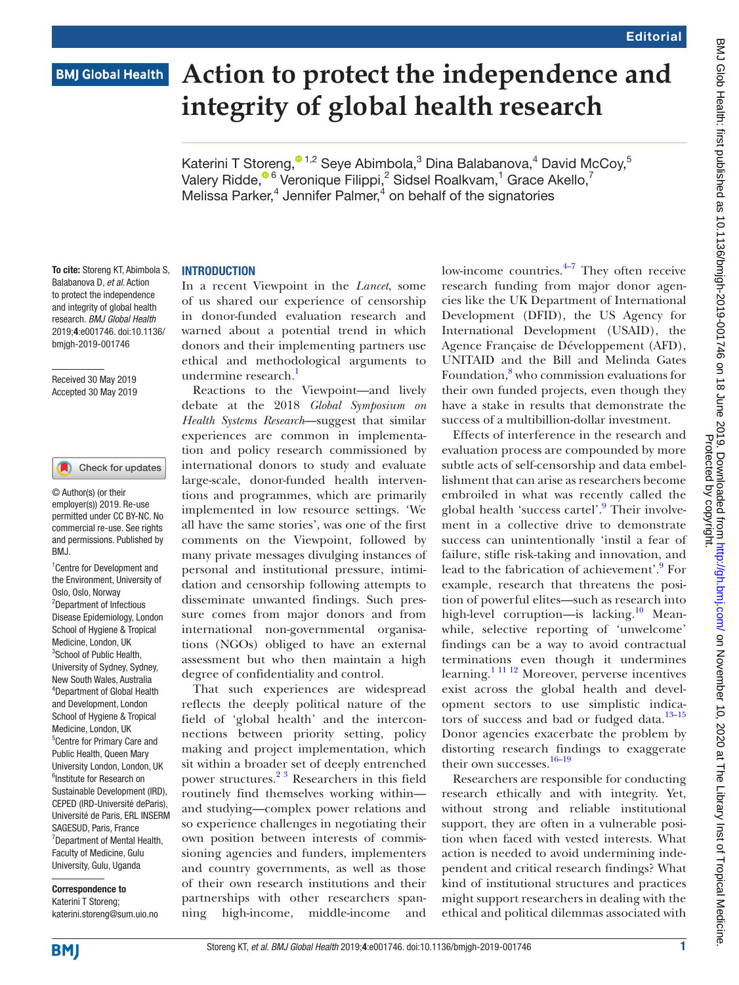# **BMJ Global Health**

# **Action to protect the independence and integrity of global health research**

Katerini T Storeng, $^{\circ}$ <sup>1,2</sup> Seye Abimbola,<sup>3</sup> Dina Balabanova,<sup>4</sup> David McCoy,<sup>5</sup> Valery Ridde[,](http://orcid.org/0000-0001-9299-8266) $^{\circ}$ 6 Veronique Filippi,<sup>2</sup> Sidsel Roalkvam,<sup>1</sup> Grace Akello,<sup>7</sup> Melissa Parker,<sup>4</sup> Jennifer Palmer,<sup>4</sup> on behalf of the signatories

#### **INTRODUCTION**

In a recent Viewpoint in the *Lancet*, some of us shared our experience of censorship in donor-funded evaluation research and warned about a potential trend in which donors and their implementing partners use ethical and methodological arguments to undermine research.<sup>[1](#page-4-0)</sup>

Reactions to the Viewpoint—and lively debate at the 2018 *Global Symposium on Health Systems Research*—suggest that similar experiences are common in implementation and policy research commissioned by international donors to study and evaluate large-scale, donor-funded health interventions and programmes, which are primarily implemented in low resource settings. 'We all have the same stories', was one of the first comments on the Viewpoint, followed by many private messages divulging instances of personal and institutional pressure, intimidation and censorship following attempts to disseminate unwanted findings. Such pressure comes from major donors and from international non-governmental organisations (NGOs) obliged to have an external assessment but who then maintain a high degree of confidentiality and control.

That such experiences are widespread reflects the deeply political nature of the field of 'global health' and the interconnections between priority setting, policy making and project implementation, which sit within a broader set of deeply entrenched power structures.<sup>23</sup> Researchers in this field routinely find themselves working within and studying—complex power relations and so experience challenges in negotiating their own position between interests of commissioning agencies and funders, implementers and country governments, as well as those of their own research institutions and their partnerships with other researchers spanning high-income, middle-income and

low-income countries. $4\frac{1}{2}$  They often receive research funding from major donor agencies like the UK Department of International Development (DFID), the US Agency for International Development (USAID), the Agence Française de Développement (AFD), UNITAID and the Bill and Melinda Gates Foundation,<sup>[8](#page-4-3)</sup> who commission evaluations for their own funded projects, even though they have a stake in results that demonstrate the success of a multibillion-dollar investment.

Effects of interference in the research and evaluation process are compounded by more subtle acts of self-censorship and data embellishment that can arise as researchers become embroiled in what was recently called the global health 'success cartel'.<sup>[9](#page-4-4)</sup> Their involvement in a collective drive to demonstrate success can unintentionally 'instil a fear of failure, stifle risk-taking and innovation, and lead to the fabrication of achievement'.<sup>[9](#page-4-4)</sup> For example, research that threatens the position of powerful elites—such as research into high-level corruption—is lacking.<sup>10</sup> Meanwhile, selective reporting of 'unwelcome' findings can be a way to avoid contractual terminations even though it undermines learning.[1 11 12](#page-4-0) Moreover, perverse incentives exist across the global health and development sectors to use simplistic indicators of success and bad or fudged data.<sup>13-15</sup> Donor agencies exacerbate the problem by distorting research findings to exaggerate their own successes.<sup>16-19</sup>

Researchers are responsible for conducting research ethically and with integrity. Yet, without strong and reliable institutional support, they are often in a vulnerable position when faced with vested interests. What action is needed to avoid undermining independent and critical research findings? What kind of institutional structures and practices might support researchers in dealing with the ethical and political dilemmas associated with

To cite: Storeng KT, Abimbola S, Balabanova D, *et al*. Action to protect the independence and integrity of global health research. *BMJ Global Health* 2019;4:e001746. doi:10.1136/ bmjgh-2019-001746

Received 30 May 2019 Accepted 30 May 2019

#### Check for updates

© Author(s) (or their employer(s)) 2019. Re-use permitted under CC BY-NC. No commercial re-use. See rights and permissions. Published by RM<sub>J</sub>

1 Centre for Development and the Environment, University of Oslo, Oslo, Norway 2 Department of Infectious Disease Epidemiology, London School of Hygiene & Tropical Medicine, London, UK <sup>3</sup>School of Public Health, University of Sydney, Sydney, New South Wales, Australia 4 Department of Global Health and Development, London School of Hygiene & Tropical Medicine, London, UK 5 Centre for Primary Care and Public Health, Queen Mary University London, London, UK 6 Institute for Research on Sustainable Development (IRD), CEPED (IRD-Université deParis), Université de Paris, ERL INSERM SAGESUD, Paris, France <sup>7</sup>Department of Mental Health, Faculty of Medicine, Gulu University, Gulu, Uganda

Correspondence to Katerini T Storeng; katerini.storeng@sum.uio.no BMJ Glob Health: first published as 10.1136/bmigh-2019-001746 on 18 June 2019. Downloaded from http://gh.bmj.com/ on November 10, 2020 at The Library Inst of Tropical Medicine.<br>Protected by copyrigh-2019-001746 on 18 June BMJ Glob Health: first published as 10.1136/bmjgh-2019-001746 on 18 June 2019. Downloaded from Dowenload Medicine. Download 19 June 18 June 18 June 2020 at 19 June 2020 at 18 June 2019. Download Medicine. Protected by copyright.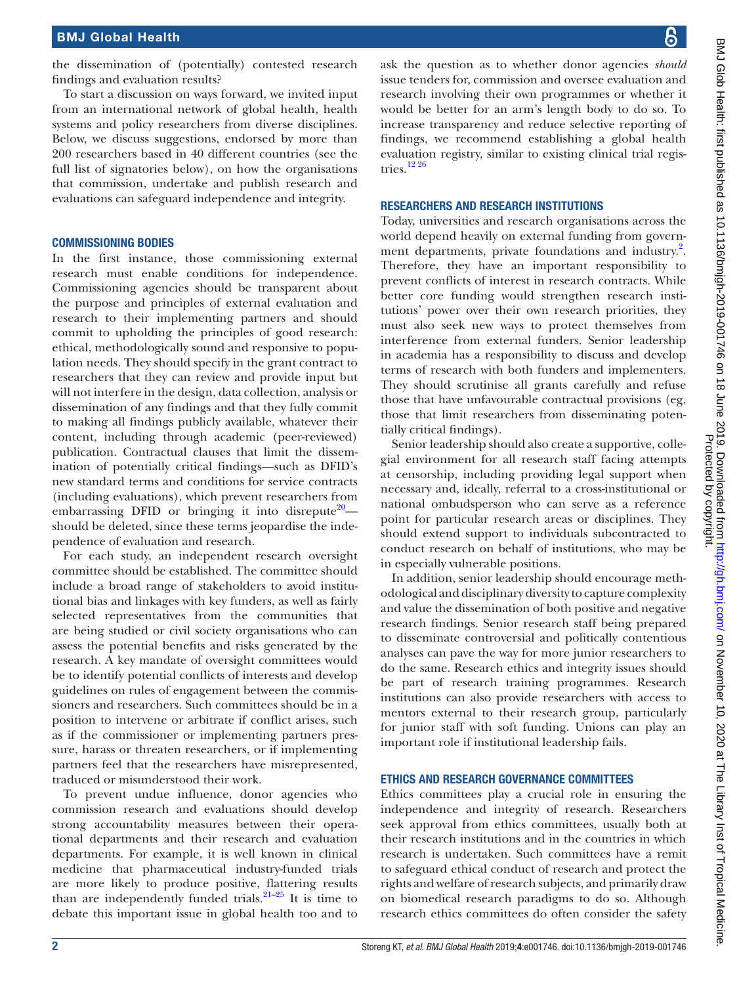the dissemination of (potentially) contested research findings and evaluation results?

To start a discussion on ways forward, we invited input from an international network of global health, health systems and policy researchers from diverse disciplines. Below, we discuss suggestions, endorsed by more than 200 researchers based in 40 different countries (see the full list of signatories below), on how the organisations that commission, undertake and publish research and evaluations can safeguard independence and integrity.

### Commissioning bodies

In the first instance, those commissioning external research must enable conditions for independence. Commissioning agencies should be transparent about the purpose and principles of external evaluation and research to their implementing partners and should commit to upholding the principles of good research: ethical, methodologically sound and responsive to population needs. They should specify in the grant contract to researchers that they can review and provide input but will not interfere in the design, data collection, analysis or dissemination of any findings and that they fully commit to making all findings publicly available, whatever their content, including through academic (peer-reviewed) publication. Contractual clauses that limit the dissemination of potentially critical findings—such as DFID's new standard terms and conditions for service contracts (including evaluations), which prevent researchers from embarrassing DFID or bringing it into disrepute<sup>[20](#page-4-8)</sup> should be deleted, since these terms jeopardise the independence of evaluation and research.

For each study, an independent research oversight committee should be established. The committee should include a broad range of stakeholders to avoid institutional bias and linkages with key funders, as well as fairly selected representatives from the communities that are being studied or civil society organisations who can assess the potential benefits and risks generated by the research. A key mandate of oversight committees would be to identify potential conflicts of interests and develop guidelines on rules of engagement between the commissioners and researchers. Such committees should be in a position to intervene or arbitrate if conflict arises, such as if the commissioner or implementing partners pressure, harass or threaten researchers, or if implementing partners feel that the researchers have misrepresented, traduced or misunderstood their work.

To prevent undue influence, donor agencies who commission research and evaluations should develop strong accountability measures between their operational departments and their research and evaluation departments. For example, it is well known in clinical medicine that pharmaceutical industry-funded trials are more likely to produce positive, flattering results than are independently funded trials.<sup>21–25</sup> It is time to debate this important issue in global health too and to

ask the question as to whether donor agencies *should* issue tenders for, commission and oversee evaluation and research involving their own programmes or whether it would be better for an arm's length body to do so. To increase transparency and reduce selective reporting of findings, we recommend establishing a global health evaluation registry, similar to existing clinical trial registries.[12 26](#page-4-10)

#### Researchers and research institutions

Today, universities and research organisations across the world depend heavily on external funding from government departments, private foundations and industry.<sup>2</sup>. Therefore, they have an important responsibility to prevent conflicts of interest in research contracts. While better core funding would strengthen research institutions' power over their own research priorities, they must also seek new ways to protect themselves from interference from external funders. Senior leadership in academia has a responsibility to discuss and develop terms of research with both funders and implementers. They should scrutinise all grants carefully and refuse those that have unfavourable contractual provisions (eg, those that limit researchers from disseminating potentially critical findings).

Senior leadership should also create a supportive, collegial environment for all research staff facing attempts at censorship, including providing legal support when necessary and, ideally, referral to a cross-institutional or national ombudsperson who can serve as a reference point for particular research areas or disciplines. They should extend support to individuals subcontracted to conduct research on behalf of institutions, who may be in especially vulnerable positions.

In addition, senior leadership should encourage methodological and disciplinary diversity to capture complexity and value the dissemination of both positive and negative research findings. Senior research staff being prepared to disseminate controversial and politically contentious analyses can pave the way for more junior researchers to do the same. Research ethics and integrity issues should be part of research training programmes. Research institutions can also provide researchers with access to mentors external to their research group, particularly for junior staff with soft funding. Unions can play an important role if institutional leadership fails.

#### Ethics and research governance committees

Ethics committees play a crucial role in ensuring the independence and integrity of research. Researchers seek approval from ethics committees, usually both at their research institutions and in the countries in which research is undertaken. Such committees have a remit to safeguard ethical conduct of research and protect the rights and welfare of research subjects, and primarily draw on biomedical research paradigms to do so. Although research ethics committees do often consider the safety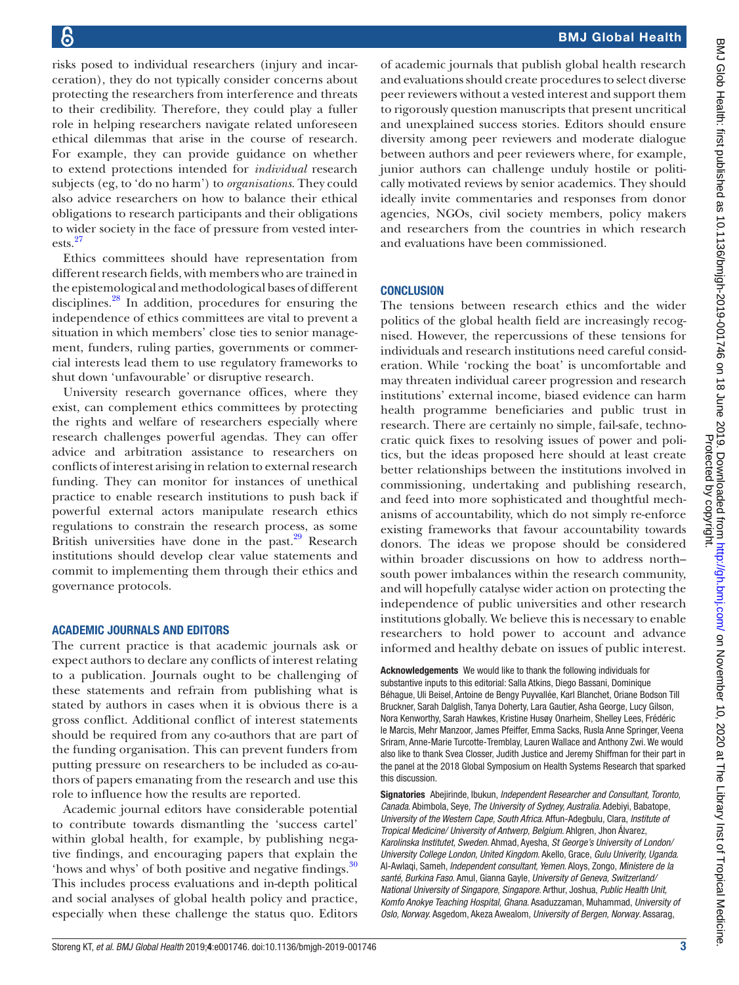risks posed to individual researchers (injury and incarceration), they do not typically consider concerns about protecting the researchers from interference and threats to their credibility. Therefore, they could play a fuller role in helping researchers navigate related unforeseen ethical dilemmas that arise in the course of research. For example, they can provide guidance on whether to extend protections intended for *individual* research subjects (eg, to 'do no harm') to *organisations*. They could also advice researchers on how to balance their ethical obligations to research participants and their obligations to wider society in the face of pressure from vested interests.[27](#page-4-11)

Ethics committees should have representation from different research fields, with members who are trained in the epistemological and methodological bases of different disciplines[.28](#page-4-12) In addition, procedures for ensuring the independence of ethics committees are vital to prevent a situation in which members' close ties to senior management, funders, ruling parties, governments or commercial interests lead them to use regulatory frameworks to shut down 'unfavourable' or disruptive research.

University research governance offices, where they exist, can complement ethics committees by protecting the rights and welfare of researchers especially where research challenges powerful agendas. They can offer advice and arbitration assistance to researchers on conflicts of interest arising in relation to external research funding. They can monitor for instances of unethical practice to enable research institutions to push back if powerful external actors manipulate research ethics regulations to constrain the research process, as some British universities have done in the past. $29$  Research institutions should develop clear value statements and commit to implementing them through their ethics and governance protocols.

#### Academic journals and editors

The current practice is that academic journals ask or expect authors to declare any conflicts of interest relating to a publication. Journals ought to be challenging of these statements and refrain from publishing what is stated by authors in cases when it is obvious there is a gross conflict. Additional conflict of interest statements should be required from any co-authors that are part of the funding organisation. This can prevent funders from putting pressure on researchers to be included as co-authors of papers emanating from the research and use this role to influence how the results are reported.

Academic journal editors have considerable potential to contribute towards dismantling the 'success cartel' within global health, for example, by publishing negative findings, and encouraging papers that explain the 'hows and whys' of both positive and negative findings.<sup>[30](#page-4-14)</sup> This includes process evaluations and in-depth political and social analyses of global health policy and practice, especially when these challenge the status quo. Editors

of academic journals that publish global health research and evaluations should create procedures to select diverse peer reviewers without a vested interest and support them to rigorously question manuscripts that present uncritical and unexplained success stories. Editors should ensure diversity among peer reviewers and moderate dialogue between authors and peer reviewers where, for example, junior authors can challenge unduly hostile or politically motivated reviews by senior academics. They should ideally invite commentaries and responses from donor agencies, NGOs, civil society members, policy makers and researchers from the countries in which research and evaluations have been commissioned.

#### **CONCLUSION**

The tensions between research ethics and the wider politics of the global health field are increasingly recognised. However, the repercussions of these tensions for individuals and research institutions need careful consideration. While 'rocking the boat' is uncomfortable and may threaten individual career progression and research institutions' external income, biased evidence can harm health programme beneficiaries and public trust in research. There are certainly no simple, fail-safe, technocratic quick fixes to resolving issues of power and politics, but the ideas proposed here should at least create better relationships between the institutions involved in commissioning, undertaking and publishing research, and feed into more sophisticated and thoughtful mechanisms of accountability, which do not simply re-enforce existing frameworks that favour accountability towards donors. The ideas we propose should be considered within broader discussions on how to address north– south power imbalances within the research community, and will hopefully catalyse wider action on protecting the independence of public universities and other research institutions globally. We believe this is necessary to enable researchers to hold power to account and advance informed and healthy debate on issues of public interest.

Acknowledgements We would like to thank the following individuals for substantive inputs to this editorial: Salla Atkins, Diego Bassani, Dominique Béhague, Uli Beisel, Antoine de Bengy Puyvallée, Karl Blanchet, Oriane Bodson Till Bruckner, Sarah Dalglish, Tanya Doherty, Lara Gautier, Asha George, Lucy Gilson, Nora Kenworthy, Sarah Hawkes, Kristine Husøy Onarheim, Shelley Lees, Frédéric le Marcis, Mehr Manzoor, James Pfeiffer, Emma Sacks, Rusla Anne Springer, Veena Sriram, Anne-Marie Turcotte-Tremblay, Lauren Wallace and Anthony Zwi. We would also like to thank Svea Closser, Judith Justice and Jeremy Shiffman for their part in the panel at the 2018 Global Symposium on Health Systems Research that sparked this discussion.

Signatories Abejirinde, Ibukun, *Independent Researcher and Consultant, Toronto, Canada*. Abimbola, Seye, *The University of Sydney, Australia*. Adebiyi, Babatope, *University of the Western Cape, South Africa*. Affun-Adegbulu, Clara, *Institute of Tropical Medicine/ University of Antwerp, Belgium*. Ahlgren, Jhon Álvarez, *Karolinska Institutet, Sweden*. Ahmad, Ayesha, *St George's University of London/ University College London, United Kingdom*. Akello, Grace, *Gulu Univerity, Uganda*. Al-Awlaqi, Sameh, *Independent consultant, Yemen*. Aloys, Zongo, *Ministere de la santé, Burkina Faso*. Amul, Gianna Gayle, *University of Geneva, Switzerland/ National University of Singapore, Singapore*. Arthur, Joshua, *Public Health Unit, Komfo Anokye Teaching Hospital, Ghana*. Asaduzzaman, Muhammad, *University of Oslo, Norway.* Asgedom, Akeza Awealom*, University of Bergen, Norway*. Assarag,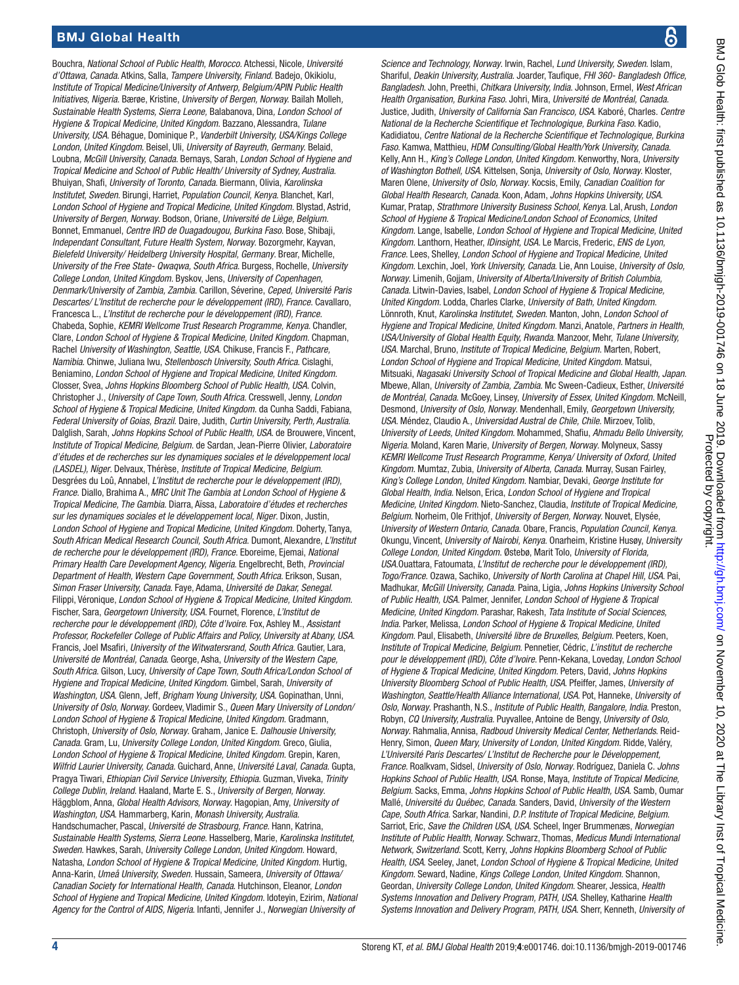# BMJ Global Health

Bouchra, *National School of Public Health, Morocco.* Atchessi, Nicole*, Université d'Ottawa, Canada*. Atkins, Salla, *Tampere University, Finland*. Badejo, Okikiolu, *Institute of Tropical Medicine/University of Antwerp, Belgium/APIN Public Health Initiatives, Nigeria*. Bærøe, Kristine, *University of Bergen, Norway.* Bailah Molleh*, Sustainable Health Systems, Sierra Leone,* Balabanova, Dina*, London School of Hygiene & Tropical Medicine, United Kingdom*. Bazzano, Alessandra, *Tulane University, USA*. Béhague, Dominique P., *Vanderbilt University, USA/Kings College London, United Kingdom*. Beisel, Uli, *University of Bayreuth, Germany.* Belaid, Loubna*, McGill University, Canada*. Bernays, Sarah, *London School of Hygiene and Tropical Medicine and School of Public Health/ University of Sydney, Australia*. Bhuiyan, Shafi, *University of Toronto, Canada*. Biermann, Olivia, *Karolinska Institutet, Sweden*. Birungi, Harriet, *Population Council, Kenya*. Blanchet, Karl, *London School of Hygiene and Tropical Medicine, United Kingdom*. Blystad, Astrid, *University of Bergen, Norway*. Bodson, Oriane, *Université de Liège, Belgium*. Bonnet, Emmanuel, *Centre IRD de Ouagadougou, Burkina Faso*. Bose, Shibaji, *Independant Consultant, Future Health System, Norway*. Bozorgmehr, Kayvan, *Bielefeld University/ Heidelberg University Hospital, Germany*. Brear, Michelle, *University of the Free State- Qwaqwa, South Africa*. Burgess, Rochelle, *University College London, United Kingdom*. Byskov, Jens, *University of Copenhagen, Denmark/University of Zambia, Zambia*. Carillon, Séverine, *Ceped, Université Paris Descartes/ L'Institut de recherche pour le développement (IRD), France*. Cavallaro, Francesca L., *L'Institut de recherche pour le développement (IRD), France*. Chabeda, Sophie, *KEMRI Wellcome Trust Research Programme, Kenya*. Chandler, Clare, *London School of Hygiene & Tropical Medicine, United Kingdom*. Chapman, Rachel *University of Washington, Seattle, USA*. Chikuse, Francis F., *Pathcare, Namibia*. Chinwe, Juliana Iwu, *Stellenbosch University, South Africa*. Cislaghi, Beniamino, *London School of Hygiene and Tropical Medicine, United Kingdom*. Closser, Svea, *Johns Hopkins Bloomberg School of Public Health, USA*. Colvin, Christopher J., *University of Cape Town, South Africa*. Cresswell, Jenny, *London School of Hygiene & Tropical Medicine, United Kingdom*. da Cunha Saddi, Fabiana, *Federal University of Goias, Brazil*. Daire, Judith, *Curtin University, Perth, Australia*. Dalglish, Sarah, *Johns Hopkins School of Public Health, USA*. de Brouwere, Vincent, *Institute of Tropical Medicine, Belgium*. de Sardan, Jean-Pierre Olivier, *Laboratoire d'études et de recherches sur les dynamiques sociales et le développement local (LASDEL), Niger*. Delvaux, Thérèse, *Institute of Tropical Medicine, Belgium*. Desgrées du Loû, Annabel, *L'Institut de recherche pour le développement (IRD), France*. Diallo, Brahima A., *MRC Unit The Gambia at London School of Hygiene & Tropical Medicine, The Gambia*. Diarra, Aïssa, *Laboratoire d'études et recherches sur les dynamiques sociales et le développement local, Niger*. Dixon, Justin, *London School of Hygiene and Tropical Medicine, United Kingdom*. Doherty, Tanya, *South African Medical Research Council, South Africa*. Dumont, Alexandre, *L'Institut de recherche pour le développement (IRD), France*. Eboreime, Ejemai, *National Primary Health Care Development Agency, Nigeria*. Engelbrecht, Beth, *Provincial Department of Health, Western Cape Government, South Africa*. Erikson, Susan, *Simon Fraser University, Canada*. Faye, Adama, *Université de Dakar, Senegal*. Filippi, Véronique, *London School of Hygiene & Tropical Medicine, United Kingdom*. Fischer, Sara, *Georgetown University, USA*. Fournet, Florence, *L'Institut de recherche pour le développement (IRD), Côte d'Ivoire*. Fox, Ashley M., *Assistant Professor, Rockefeller College of Public Affairs and Policy, University at Abany, USA*. Francis, Joel Msafiri, *University of the Witwatersrand, South Africa*. Gautier, Lara, *Université de Montréal, Canada*. George, Asha, *University of the Western Cape, South Africa*. Gilson, Lucy, *University of Cape Town, South Africa/London School of Hygiene and Tropical Medicine, United Kingdom*. Gimbel, Sarah, *University of Washington, USA*. Glenn, Jeff, *Brigham Young University, USA*. Gopinathan, Unni, *University of Oslo, Norway*. Gordeev, Vladimir S., *Queen Mary University of London/ London School of Hygiene & Tropical Medicine, United Kingdom*. Gradmann, Christoph, *University of Oslo, Norway*. Graham, Janice E. *Dalhousie University, Canada*. Gram, Lu, *University College London, United Kingdom*. Greco, Giulia, *London School of Hygiene & Tropical Medicine, United Kingdom*. Grepin, Karen, *Wilfrid Laurier University, Canada*. Guichard, Anne, *Université Laval, Canada*. Gupta, Pragya Tiwari, *Ethiopian Civil Service University, Ethiopia*. Guzman, Viveka, *Trinity College Dublin, Ireland*. Haaland, Marte E. S., *University of Bergen, Norway*. Häggblom, Anna, *Global Health Advisors, Norway*. Hagopian, Amy, *University of Washington, USA*. Hammarberg, Karin, *Monash University, Australia*. Handschumacher, Pascal, *Université de Strasbourg, France*. Hann, Katrina, *Sustainable Health Systems, Sierra Leone*. Hasselberg, Marie, *Karolinska Institutet, Sweden*. Hawkes, Sarah, *University College London, United Kingdom*. Howard, Natasha, *London School of Hygiene & Tropical Medicine, United Kingdom*. Hurtig, Anna-Karin, *Umeå University, Sweden.* Hussain, Sameera*, University of Ottawa/ Canadian Society for International Health, Canada*. Hutchinson, Eleanor, *London School of Hygiene and Tropical Medicine, United Kingdom*. Idoteyin, Ezirim, *National Agency for the Control of AIDS, Nigeria*. Infanti, Jennifer J., *Norwegian University of* 

*Science and Technology, Norway*. Irwin, Rachel, *Lund University, Sweden*. Islam, Shariful, *Deakin University, Australia*. Joarder, Taufique, *FHI 360- Bangladesh Office, Bangladesh*. John, Preethi, *Chitkara University, India*. Johnson, Ermel, *West African Health Organisation, Burkina Faso*. Johri, Mira, *Université de Montréal, Canada*. Justice, Judith, *University of California San Francisco, USA*. Kaboré, Charles. *Centre National de la Recherche Scientifique et Technologique, Burkina Faso*. Kadio, Kadidiatou, *Centre National de la Recherche Scientifique et Technologique, Burkina Faso*. Kamwa, Matthieu, *HDM Consulting/Global Health/York University, Canada*. Kelly, Ann H., *King's College London, United Kingdom*. Kenworthy, Nora, *University of Washington Bothell, USA*. Kittelsen, Sonja, *University of Oslo, Norway*. Kloster, Maren Olene, *University of Oslo, Norway*. Kocsis, Emily, *Canadian Coalition for Global Health Research, Canada*. Koon, Adam, *Johns Hopkins University, USA*. Kumar, Pratap, *Strathmore University Business School, Kenya*. Lal, Arush, *London School of Hygiene & Tropical Medicine/London School of Economics, United Kingdom*. Lange, Isabelle, *London School of Hygiene and Tropical Medicine, United Kingdom*. Lanthorn, Heather, *IDinsight, USA*. Le Marcis, Frederic, *ENS de Lyon, France*. Lees, Shelley, *London School of Hygiene and Tropical Medicine, United Kingdom*. Lexchin, Joel, *York University, Canada*. Lie, Ann Louise, *University of Oslo, Norway*. Limenih, Gojjam, *University of Alberta/University of British Columbia, Canada*. Litwin-Davies, Isabel, *London School of Hygiene & Tropical Medicine, United Kingdom*. Lodda, Charles Clarke, *University of Bath, United Kingdom*. Lönnroth, Knut, *Karolinska Institutet, Sweden*. Manton, John, *London School of Hygiene and Tropical Medicine, United Kingdom*. Manzi, Anatole, *Partners in Health, USA/University of Global Health Equity, Rwanda*. Manzoor, Mehr, *Tulane University, USA*. Marchal, Bruno, *Institute of Tropical Medicine, Belgium*. Marten, Robert, *London School of Hygiene and Tropical Medicine, United Kingdom*. Matsui, Mitsuaki, *Nagasaki University School of Tropical Medicine and Global Health, Japan*. Mbewe, Allan, *University of Zambia, Zambia*. Mc Sween-Cadieux, Esther, *Université de Montréal, Canada*. McGoey, Linsey, *University of Essex, United Kingdom*. McNeill, Desmond, *University of Oslo, Norway*. Mendenhall, Emily, *Georgetown University, USA*. Méndez, Claudio A., *Universidad Austral de Chile, Chile*. Mirzoev, Tolib, *University of Leeds, United Kingdom*. Mohammed, Shafiu, *Ahmadu Bello University, Nigeria*. Moland, Karen Marie, *University of Bergen, Norway*. Molyneux, Sassy *KEMRI Wellcome Trust Research Programme, Kenya/ University of Oxford, United Kingdom*. Mumtaz, Zubia, *University of Alberta, Canada*. Murray, Susan Fairley, *King's College London, United Kingdom*. Nambiar, Devaki, *George Institute for Global Health, India*. Nelson, Erica, *London School of Hygiene and Tropical Medicine, United Kingdom*. Nieto-Sanchez, Claudia, *Institute of Tropical Medicine, Belgium*. Norheim, Ole Frithjof, *University of Bergen, Norway*. Nouvet, Elysée, *University of Western Ontario, Canada*. Obare, Francis, *Population Council, Kenya*. Okungu, Vincent, *University of Nairobi, Kenya*. Onarheim, Kristine Husøy, *University College London, United Kingdom*. Østebø, Marit Tolo, *University of Florida, USA*.Ouattara, Fatoumata, *L'Institut de recherche pour le développement (IRD), Togo/France*. Ozawa, Sachiko, *University of North Carolina at Chapel Hill, USA*. Pai, Madhukar, *McGill University, Canada*. Paina, Ligia, *Johns Hopkins University School of Public Health, USA*. Palmer, Jennifer, *London School of Hygiene & Tropical Medicine, United Kingdom*. Parashar, Rakesh, *Tata Institute of Social Sciences, India*. Parker, Melissa, *London School of Hygiene & Tropical Medicine, United Kingdom*. Paul, Elisabeth, *Université libre de Bruxelles, Belgium*. Peeters, Koen, *Institute of Tropical Medicine, Belgium*. Pennetier, Cédric, *L'institut de recherche pour le développement (IRD), Côte d'Ivoire*. Penn-Kekana, Loveday, *London School of Hygiene & Tropical Medicine, United Kingdom*. Peters, David, *Johns Hopkins University Bloomberg School of Public Health, USA*. Pfeiffer, James, *University of Washington, Seattle/Health Alliance International, USA*. Pot, Hanneke, *University of Oslo, Norway*. Prashanth, N.S., *Institute of Public Health, Bangalore, India*. Preston, Robyn, *CQ University, Australia*. Puyvallee, Antoine de Bengy, *University of Oslo, Norway*. Rahmalia, Annisa, *Radboud University Medical Center, Netherlands*. Reid-Henry, Simon, *Queen Mary, University of London, United Kingdom*. Ridde, Valéry, *L'Université Paris Descartes/ L'Institut de Recherche pour le Développement, France*. Roalkvam, Sidsel, *University of Oslo, Norway*. Rodríguez, Daniela C. *Johns Hopkins School of Public Health, USA*. Ronse, Maya, *Institute of Tropical Medicine, Belgium*. Sacks, Emma, *Johns Hopkins School of Public Health, USA*. Samb, Oumar Mallé, *Université du Québec, Canada*. Sanders, David, *University of the Western Cape, South Africa*. Sarkar, Nandini, *D.P. Institute of Tropical Medicine, Belgium*. Sarriot, Eric, *Save the Children USA, USA*. Scheel, Inger Brummenæs, *Norwegian Institute of Public Health, Norway*. Schwarz, Thomas, *Medicus Mundi International Network, Switzerland*. Scott, Kerry, *Johns Hopkins Bloomberg School of Public Health, USA*. Seeley, Janet, *London School of Hygiene & Tropical Medicine, United Kingdom*. Seward, Nadine, *Kings College London, United Kingdom*. Shannon, Geordan, *University College London, United Kingdom*. Shearer, Jessica, *Health Systems Innovation and Delivery Program, PATH, USA*. Shelley, Katharine *Health Systems Innovation and Delivery Program, PATH, USA*. Sherr, Kenneth, *University of* 

႙